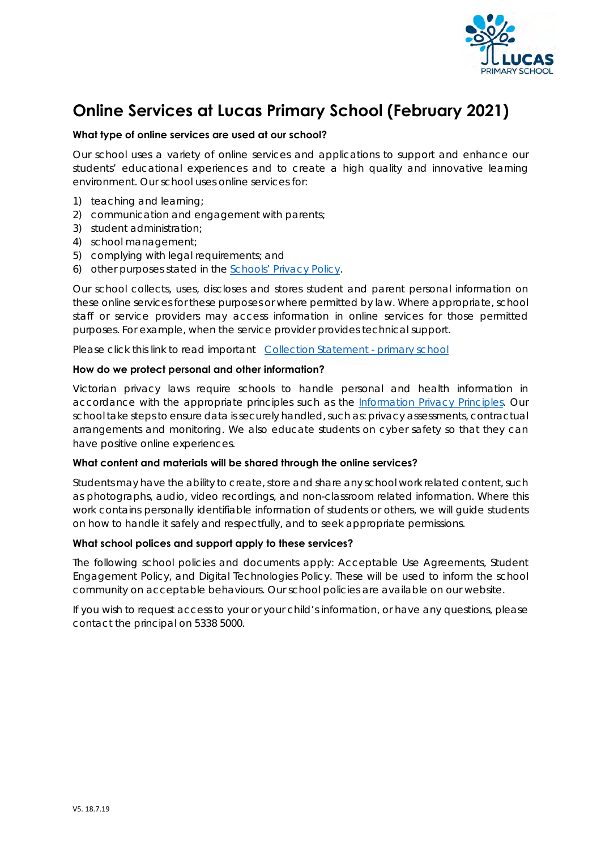

# **Online Services at Lucas Primary School (February 2021)**

## **What type of online services are used at our school?**

Our school uses a variety of online services and applications to support and enhance our students' educational experiences and to create a high quality and innovative learning environment. Our school uses online services for:

- 1) teaching and learning;
- 2) communication and engagement with parents;
- 3) student administration;
- 4) school management;
- 5) complying with legal requirements; and
- 6) other purposes stated in the Schools' Privacy Policy.

Our school collects, uses, discloses and stores student and parent personal information on these online services for these purposes or where permitted by law. Where appropriate, school staff or service providers may access information in online services for those permitted purposes. For example, when the service provider provides technical support.

Please click this link to read important Collection Statement - primary school

### **How do we protect personal and other information?**

Victorian privacy laws require schools to handle personal and health information in accordance with the appropriate principles such as the Information Privacy Principles. Our school take steps to ensure data is securely handled, such as: privacy assessments, contractual arrangements and monitoring. We also educate students on cyber safety so that they can have positive online experiences.

### **What content and materials will be shared through the online services?**

Students may have the ability to create, store and share any school work related content, such as photographs, audio, video recordings, and non-classroom related information. Where this work contains personally identifiable information of students or others, we will guide students on how to handle it safely and respectfully, and to seek appropriate permissions.

### **What school polices and support apply to these services?**

The following school policies and documents apply: Acceptable Use Agreements, Student Engagement Policy, and Digital Technologies Policy. These will be used to inform the school community on acceptable behaviours. Our school policies are available on our website.

If you wish to request access to your or your child's information, or have any questions, please contact the principal on 5338 5000.